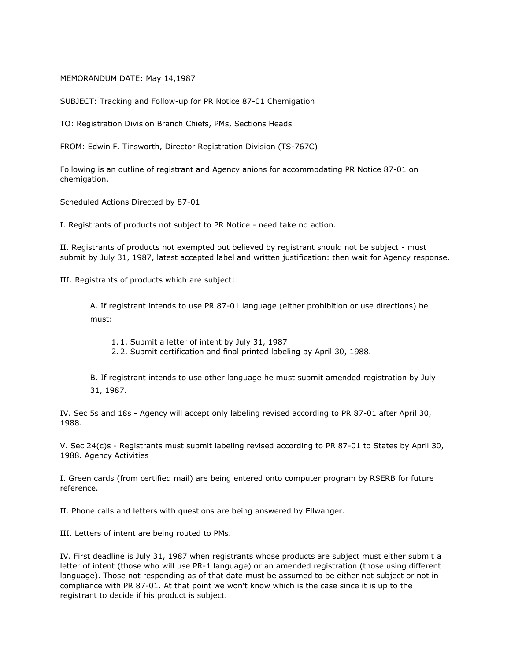## MEMORANDUM DATE: May 14,1987

SUBJECT: Tracking and Follow-up for PR Notice 87-01 Chemigation

TO: Registration Division Branch Chiefs, PMs, Sections Heads

FROM: Edwin F. Tinsworth, Director Registration Division (TS-767C)

Following is an outline of registrant and Agency anions for accommodating PR Notice 87-01 on chemigation.

Scheduled Actions Directed by 87-01

I. Registrants of products not subject to PR Notice - need take no action.

II. Registrants of products not exempted but believed by registrant should not be subject - must submit by July 31, 1987, latest accepted label and written justification: then wait for Agency response.

III. Registrants of products which are subject:

A. If registrant intends to use PR 87-01 language (either prohibition or use directions) he must:

- 1.1. Submit a letter of intent by July 31, 1987
- 2.2. Submit certification and final printed labeling by April 30, 1988.

B. If registrant intends to use other language he must submit amended registration by July 31, 1987.

IV. Sec 5s and 18s - Agency will accept only labeling revised according to PR 87-01 after April 30, 1988.

V. Sec 24(c)s - Registrants must submit labeling revised according to PR 87-01 to States by April 30, 1988. Agency Activities

I. Green cards (from certified mail) are being entered onto computer program by RSERB for future reference.

II. Phone calls and letters with questions are being answered by Ellwanger.

III. Letters of intent are being routed to PMs.

IV. First deadline is July 31, 1987 when registrants whose products are subject must either submit a letter of intent (those who will use PR-1 language) or an amended registration (those using different language). Those not responding as of that date must be assumed to be either not subject or not in compliance with PR 87-01. At that point we won't know which is the case since it is up to the registrant to decide if his product is subject.